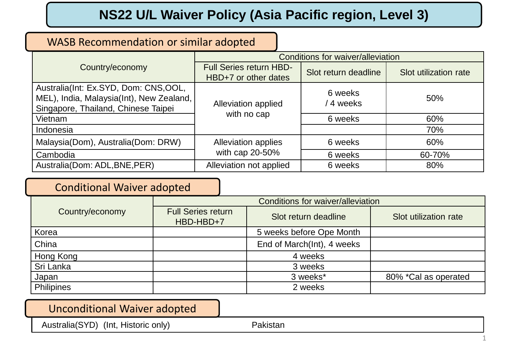# **NS22 U/L Waiver Policy (Asia Pacific region, Level 3)**

## WASB Recommendation or similar adopted

|                                                                                                                         | Conditions for waiver/alleviation |                      |                       |
|-------------------------------------------------------------------------------------------------------------------------|-----------------------------------|----------------------|-----------------------|
| Country/economy                                                                                                         | <b>Full Series return HBD-</b>    | Slot return deadline | Slot utilization rate |
|                                                                                                                         | HBD+7 or other dates              |                      |                       |
| Australia(Int: Ex.SYD, Dom: CNS,OOL,<br>MEL), India, Malaysia(Int), New Zealand,<br>Singapore, Thailand, Chinese Taipei | Alleviation applied               | 6 weeks<br>4 weeks   | 50%                   |
| Vietnam                                                                                                                 | with no cap                       | 6 weeks              | 60%                   |
| Indonesia                                                                                                               |                                   |                      | 70%                   |
| Malaysia(Dom), Australia(Dom: DRW)                                                                                      | Alleviation applies               | 6 weeks              | 60%                   |
| Cambodia                                                                                                                | with cap 20-50%                   | 6 weeks              | 60-70%                |
| Australia (Dom: ADL, BNE, PER)                                                                                          | Alleviation not applied           | 6 weeks              | 80%                   |

### Conditional Waiver adopted

|                 | Conditions for waiver/alleviation      |                            |                       |  |
|-----------------|----------------------------------------|----------------------------|-----------------------|--|
| Country/economy | <b>Full Series return</b><br>HBD-HBD+7 | Slot return deadline       | Slot utilization rate |  |
| Korea           |                                        | 5 weeks before Ope Month   |                       |  |
| China           |                                        | End of March(Int), 4 weeks |                       |  |
| Hong Kong       |                                        | 4 weeks                    |                       |  |
| Sri Lanka       |                                        | 3 weeks                    |                       |  |
| Japan           |                                        | 3 weeks*                   | 80% *Cal as operated  |  |
| Philipines      |                                        | 2 weeks                    |                       |  |

#### Unconditional Waiver adopted

Australia(SYD) (Int, Historic only) Pakistan